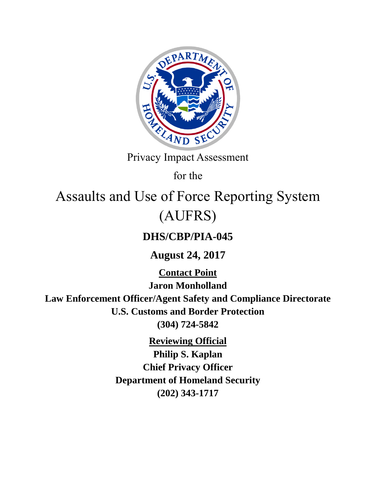

Privacy Impact Assessment

for the

# Assaults and Use of Force Reporting System (AUFRS)

# **DHS/CBP/PIA-045**

**August 24, 2017**

**Contact Point Jaron Monholland Law Enforcement Officer/Agent Safety and Compliance Directorate U.S. Customs and Border Protection (304) 724-5842**

**Reviewing Official**

**Philip S. Kaplan Chief Privacy Officer Department of Homeland Security (202) 343-1717**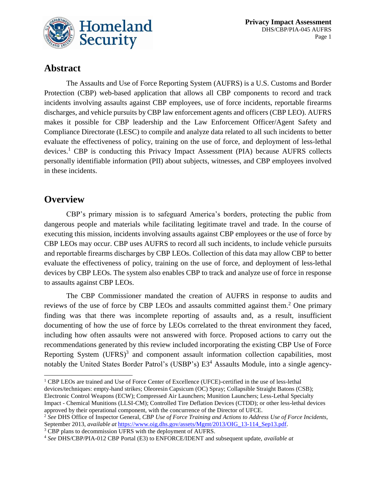

# **Abstract**

The Assaults and Use of Force Reporting System (AUFRS) is a U.S. Customs and Border Protection (CBP) web-based application that allows all CBP components to record and track incidents involving assaults against CBP employees, use of force incidents, reportable firearms discharges, and vehicle pursuits by CBP law enforcement agents and officers (CBP LEO). AUFRS makes it possible for CBP leadership and the Law Enforcement Officer/Agent Safety and Compliance Directorate (LESC) to compile and analyze data related to all such incidents to better evaluate the effectiveness of policy, training on the use of force, and deployment of less-lethal devices. <sup>1</sup> CBP is conducting this Privacy Impact Assessment (PIA) because AUFRS collects personally identifiable information (PII) about subjects, witnesses, and CBP employees involved in these incidents.

# **Overview**

CBP's primary mission is to safeguard America's borders, protecting the public from dangerous people and materials while facilitating legitimate travel and trade. In the course of executing this mission, incidents involving assaults against CBP employees or the use of force by CBP LEOs may occur. CBP uses AUFRS to record all such incidents, to include vehicle pursuits and reportable firearms discharges by CBP LEOs. Collection of this data may allow CBP to better evaluate the effectiveness of policy, training on the use of force, and deployment of less-lethal devices by CBP LEOs. The system also enables CBP to track and analyze use of force in response to assaults against CBP LEOs.

The CBP Commissioner mandated the creation of AUFRS in response to audits and reviews of the use of force by CBP LEOs and assaults committed against them.<sup>2</sup> One primary finding was that there was incomplete reporting of assaults and, as a result, insufficient documenting of how the use of force by LEOs correlated to the threat environment they faced, including how often assaults were not answered with force. Proposed actions to carry out the recommendations generated by this review included incorporating the existing CBP Use of Force Reporting System (UFRS)<sup>3</sup> and component assault information collection capabilities, most notably the United States Border Patrol's (USBP's) E3<sup>4</sup> Assaults Module, into a single agency-

l <sup>1</sup> CBP LEOs are trained and Use of Force Center of Excellence (UFCE)-certified in the use of less-lethal devices/techniques: empty-hand strikes; Oleoresin Capsicum (OC) Spray; Collapsible Straight Batons (CSB); Electronic Control Weapons (ECW); Compressed Air Launchers; Munition Launchers; Less-Lethal Specialty Impact - Chemical Munitions (LLSI-CM); Controlled Tire Deflation Devices (CTDD); or other less-lethal devices approved by their operational component, with the concurrence of the Director of UFCE.

<sup>3</sup> CBP plans to decommission UFRS with the deployment of AUFRS.

<sup>2</sup> *See* DHS Office of Inspector General, *CBP Use of Force Training and Actions to Address Use of Force Incidents,*  September 2013, *available at* [https://www.oig.dhs.gov/assets/Mgmt/2013/OIG\\_13-114\\_Sep13.pdf.](https://www.oig.dhs.gov/assets/Mgmt/2013/OIG_13-114_Sep13.pdf)

<sup>4</sup> *See* DHS/CBP/PIA-012 CBP Portal (E3) to ENFORCE/IDENT and subsequent update, *available at*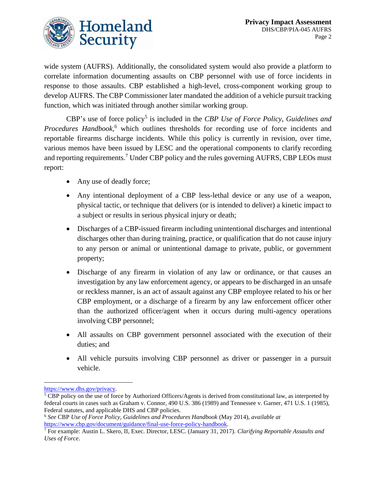

wide system (AUFRS). Additionally, the consolidated system would also provide a platform to correlate information documenting assaults on CBP personnel with use of force incidents in response to those assaults. CBP established a high-level, cross-component working group to develop AUFRS. The CBP Commissioner later mandated the addition of a vehicle pursuit tracking function, which was initiated through another similar working group.

CBP's use of force policy<sup>5</sup> is included in the *CBP Use of Force Policy, Guidelines and Procedures Handbook,* <sup>6</sup> which outlines thresholds for recording use of force incidents and reportable firearms discharge incidents. While this policy is currently in revision, over time, various memos have been issued by LESC and the operational components to clarify recording and reporting requirements. <sup>7</sup> Under CBP policy and the rules governing AUFRS, CBP LEOs must report:

- Any use of deadly force;
- Any intentional deployment of a CBP less-lethal device or any use of a weapon, physical tactic, or technique that delivers (or is intended to deliver) a kinetic impact to a subject or results in serious physical injury or death;
- Discharges of a CBP-issued firearm including unintentional discharges and intentional discharges other than during training, practice, or qualification that do not cause injury to any person or animal or unintentional damage to private, public, or government property;
- Discharge of any firearm in violation of any law or ordinance, or that causes an investigation by any law enforcement agency, or appears to be discharged in an unsafe or reckless manner, is an act of assault against any CBP employee related to his or her CBP employment, or a discharge of a firearm by any law enforcement officer other than the authorized officer/agent when it occurs during multi-agency operations involving CBP personnel;
- All assaults on CBP government personnel associated with the execution of their duties; and
- All vehicle pursuits involving CBP personnel as driver or passenger in a pursuit vehicle.

 $\overline{a}$ 

[https://www.dhs.gov/privacy.](https://www.dhs.gov/privacy)

<sup>&</sup>lt;sup>5</sup> CBP policy on the use of force by Authorized Officers/Agents is derived from constitutional law, as interpreted by federal courts in cases such as Graham v. Connor, 490 U.S. 386 (1989) and Tennessee v. Garner, 471 U.S. 1 (1985), Federal statutes, and applicable DHS and CBP policies.

<sup>6</sup> *See* CBP *Use of Force Policy, Guidelines and Procedures Handbook* (May 2014), *available at* [https://www.cbp.gov/document/guidance/final-use-force-policy-handbook.](https://www.cbp.gov/document/guidance/final-use-force-policy-handbook)

<sup>7</sup> For example: Austin L. Skero, II, Exec. Director, LESC. (January 31, 2017). *Clarifying Reportable Assaults and Uses of Force*.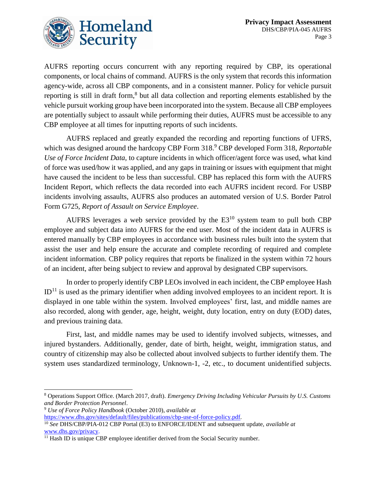

AUFRS reporting occurs concurrent with any reporting required by CBP, its operational components, or local chains of command. AUFRS is the only system that records this information agency-wide, across all CBP components, and in a consistent manner. Policy for vehicle pursuit reporting is still in draft form,<sup>8</sup> but all data collection and reporting elements established by the vehicle pursuit working group have been incorporated into the system. Because all CBP employees are potentially subject to assault while performing their duties, AUFRS must be accessible to any CBP employee at all times for inputting reports of such incidents.

AUFRS replaced and greatly expanded the recording and reporting functions of UFRS, which was designed around the hardcopy CBP Form 318. <sup>9</sup> CBP developed Form 318, *Reportable Use of Force Incident Data,* to capture incidents in which officer/agent force was used, what kind of force was used/how it was applied, and any gaps in training or issues with equipment that might have caused the incident to be less than successful. CBP has replaced this form with the AUFRS Incident Report, which reflects the data recorded into each AUFRS incident record. For USBP incidents involving assaults, AUFRS also produces an automated version of U.S. Border Patrol Form G725, *Report of Assault on Service Employee*.

AUFRS leverages a web service provided by the  $E3^{10}$  system team to pull both CBP employee and subject data into AUFRS for the end user. Most of the incident data in AUFRS is entered manually by CBP employees in accordance with business rules built into the system that assist the user and help ensure the accurate and complete recording of required and complete incident information. CBP policy requires that reports be finalized in the system within 72 hours of an incident, after being subject to review and approval by designated CBP supervisors.

In order to properly identify CBP LEOs involved in each incident, the CBP employee Hash  $ID<sup>11</sup>$  is used as the primary identifier when adding involved employees to an incident report. It is displayed in one table within the system. Involved employees' first, last, and middle names are also recorded, along with gender, age, height, weight, duty location, entry on duty (EOD) dates, and previous training data.

First, last, and middle names may be used to identify involved subjects, witnesses, and injured bystanders. Additionally, gender, date of birth, height, weight, immigration status, and country of citizenship may also be collected about involved subjects to further identify them. The system uses standardized terminology, Unknown-1, -2, etc., to document unidentified subjects.

 $\overline{a}$ 

<sup>8</sup> Operations Support Office. (March 2017, draft). *Emergency Driving Including Vehicular Pursuits by U.S. Customs and Border Protection Personnel*.

<sup>9</sup> *Use of Force Policy Handbook* (October 2010), *available at*

[https://www.dhs.gov/sites/default/files/publications/cbp-use-of-force-policy.pdf.](https://www.dhs.gov/sites/default/files/publications/cbp-use-of-force-policy.pdf)

<sup>10</sup> *See* DHS/CBP/PIA-012 CBP Portal (E3) to ENFORCE/IDENT and subsequent update, *available at*  [www.dhs.gov/privacy.](http://www.dhs.gov/privacy)

<sup>&</sup>lt;sup>11</sup> Hash ID is unique CBP employee identifier derived from the Social Security number.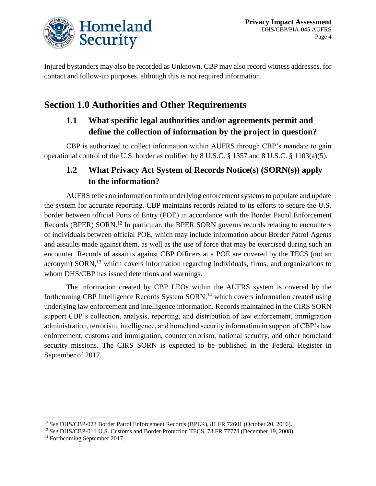

Injured bystanders may also be recorded as Unknown. CBP may also record witness addresses, for contact and follow-up purposes, although this is not required information.

# **Section 1.0 Authorities and Other Requirements**

#### **1.1 What specific legal authorities and/or agreements permit and define the collection of information by the project in question?**

CBP is authorized to collect information within AUFRS through CBP's mandate to gain operational control of the U.S. border as codified by 8 U.S.C. § 1357 and 8 U.S.C. § 1103(a)(5).

# **1.2 What Privacy Act System of Records Notice(s) (SORN(s)) apply to the information?**

AUFRS relies on information from underlying enforcement systems to populate and update the system for accurate reporting. CBP maintains records related to its efforts to secure the U.S. border between official Ports of Entry (POE) in accordance with the Border Patrol Enforcement Records (BPER) SORN.<sup>12</sup> In particular, the BPER SORN governs records relating to encounters of individuals between official POE, which may include information about Border Patrol Agents and assaults made against them, as well as the use of force that may be exercised during such an encounter. Records of assaults against CBP Officers at a POE are covered by the TECS (not an acronym) SORN,<sup>13</sup> which covers information regarding individuals, firms, and organizations to whom DHS/CBP has issued detentions and warnings.

The information created by CBP LEOs within the AUFRS system is covered by the forthcoming CBP Intelligence Records System SORN,<sup>14</sup> which covers information created using underlying law enforcement and intelligence information. Records maintained in the CIRS SORN support CBP's collection, analysis, reporting, and distribution of law enforcement, immigration administration, terrorism, intelligence, and homeland security information in support of CBP's law enforcement, customs and immigration, counterterrorism, national security, and other homeland security missions. The CIRS SORN is expected to be published in the Federal Register in September of 2017.

l

<sup>12</sup> *See* DHS/CBP-023 Border Patrol Enforcement Records (BPER), 81 FR 72601 (October 20, 2016).

<sup>13</sup> *See* DHS/CBP-011 U.S. Customs and Border Protection TECS, 73 FR 77778 (December 19, 2008).

<sup>&</sup>lt;sup>14</sup> Forthcoming September 2017.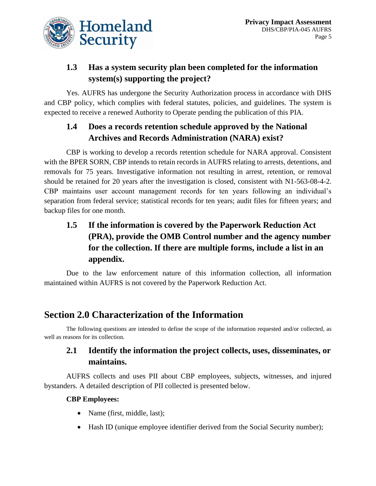

# **1.3 Has a system security plan been completed for the information system(s) supporting the project?**

Yes. AUFRS has undergone the Security Authorization process in accordance with DHS and CBP policy, which complies with federal statutes, policies, and guidelines. The system is expected to receive a renewed Authority to Operate pending the publication of this PIA.

# **1.4 Does a records retention schedule approved by the National Archives and Records Administration (NARA) exist?**

CBP is working to develop a records retention schedule for NARA approval. Consistent with the BPER SORN, CBP intends to retain records in AUFRS relating to arrests, detentions, and removals for 75 years. Investigative information not resulting in arrest, retention, or removal should be retained for 20 years after the investigation is closed, consistent with N1-563-08-4-2. CBP maintains user account management records for ten years following an individual's separation from federal service; statistical records for ten years; audit files for fifteen years; and backup files for one month.

# **1.5 If the information is covered by the Paperwork Reduction Act (PRA), provide the OMB Control number and the agency number for the collection. If there are multiple forms, include a list in an appendix.**

Due to the law enforcement nature of this information collection, all information maintained within AUFRS is not covered by the Paperwork Reduction Act.

# **Section 2.0 Characterization of the Information**

The following questions are intended to define the scope of the information requested and/or collected, as well as reasons for its collection.

#### **2.1 Identify the information the project collects, uses, disseminates, or maintains.**

AUFRS collects and uses PII about CBP employees, subjects, witnesses, and injured bystanders. A detailed description of PII collected is presented below.

#### **CBP Employees:**

- Name (first, middle, last);
- Hash ID (unique employee identifier derived from the Social Security number);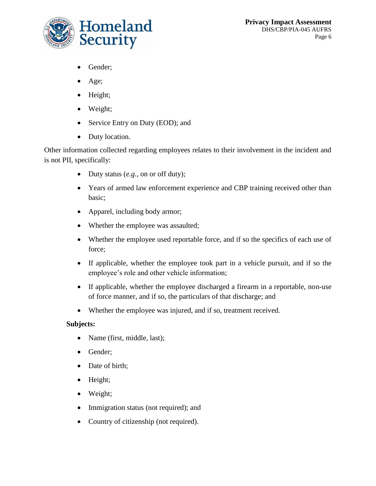

- Gender;
- Age;
- Height;
- Weight;
- Service Entry on Duty (EOD); and
- Duty location.

Other information collected regarding employees relates to their involvement in the incident and is not PII, specifically:

- Duty status (*e.g.*, on or off duty);
- Years of armed law enforcement experience and CBP training received other than basic;
- Apparel, including body armor;
- Whether the employee was assaulted;
- Whether the employee used reportable force, and if so the specifics of each use of force;
- If applicable, whether the employee took part in a vehicle pursuit, and if so the employee's role and other vehicle information;
- If applicable, whether the employee discharged a firearm in a reportable, non-use of force manner, and if so, the particulars of that discharge; and
- Whether the employee was injured, and if so, treatment received.

#### **Subjects:**

- Name (first, middle, last);
- Gender;
- Date of birth;
- Height;
- Weight;
- Immigration status (not required); and
- Country of citizenship (not required).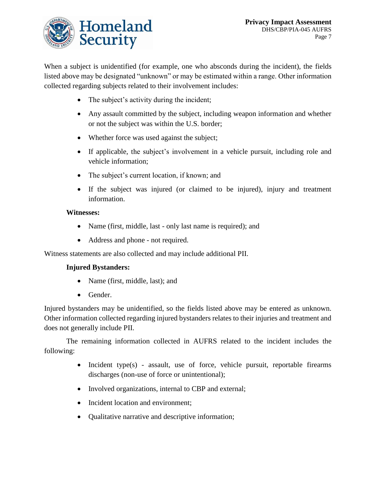

When a subject is unidentified (for example, one who absconds during the incident), the fields listed above may be designated "unknown" or may be estimated within a range. Other information collected regarding subjects related to their involvement includes:

- The subject's activity during the incident;
- Any assault committed by the subject, including weapon information and whether or not the subject was within the U.S. border;
- Whether force was used against the subject;
- If applicable, the subject's involvement in a vehicle pursuit, including role and vehicle information;
- The subject's current location, if known; and
- If the subject was injured (or claimed to be injured), injury and treatment information.

#### **Witnesses:**

- Name (first, middle, last only last name is required); and
- Address and phone not required.

Witness statements are also collected and may include additional PII.

#### **Injured Bystanders:**

- Name (first, middle, last); and
- Gender.

Injured bystanders may be unidentified, so the fields listed above may be entered as unknown. Other information collected regarding injured bystanders relates to their injuries and treatment and does not generally include PII.

The remaining information collected in AUFRS related to the incident includes the following:

- Incident type(s) assault, use of force, vehicle pursuit, reportable firearms discharges (non-use of force or unintentional);
- Involved organizations, internal to CBP and external;
- Incident location and environment;
- Oualitative narrative and descriptive information;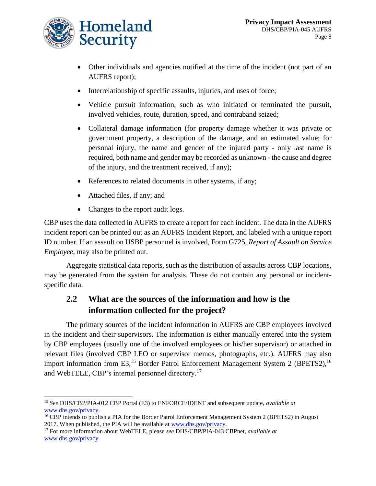

- Other individuals and agencies notified at the time of the incident (not part of an AUFRS report);
- Interrelationship of specific assaults, injuries, and uses of force;
- Vehicle pursuit information, such as who initiated or terminated the pursuit, involved vehicles, route, duration, speed, and contraband seized;
- Collateral damage information (for property damage whether it was private or government property, a description of the damage, and an estimated value; for personal injury, the name and gender of the injured party - only last name is required, both name and gender may be recorded as unknown - the cause and degree of the injury, and the treatment received, if any);
- References to related documents in other systems, if any;
- Attached files, if any; and
- Changes to the report audit logs.

CBP uses the data collected in AUFRS to create a report for each incident. The data in the AUFRS incident report can be printed out as an AUFRS Incident Report, and labeled with a unique report ID number. If an assault on USBP personnel is involved, Form G725, *Report of Assault on Service Employee*, may also be printed out.

Aggregate statistical data reports, such as the distribution of assaults across CBP locations, may be generated from the system for analysis. These do not contain any personal or incidentspecific data.

#### **2.2 What are the sources of the information and how is the information collected for the project?**

The primary sources of the incident information in AUFRS are CBP employees involved in the incident and their supervisors. The information is either manually entered into the system by CBP employees (usually one of the involved employees or his/her supervisor) or attached in relevant files (involved CBP LEO or supervisor memos, photographs, etc.). AUFRS may also import information from E3,<sup>15</sup> Border Patrol Enforcement Management System 2 (BPETS2),<sup>16</sup> and WebTELE, CBP's internal personnel directory.<sup>17</sup>

 $\overline{a}$ <sup>15</sup> *See* DHS/CBP/PIA-012 CBP Portal (E3) to ENFORCE/IDENT and subsequent update, *available at*  [www.dhs.gov/privacy.](http://www.dhs.gov/privacy)

<sup>&</sup>lt;sup>16</sup> CBP intends to publish a PIA for the Border Patrol Enforcement Management System 2 (BPETS2) in August 2017. When published, the PIA will be available at [www.dhs.gov/privacy.](http://www.dhs.gov/privacy)

<sup>17</sup> For more information about WebTELE, please *see* DHS/CBP/PIA-043 CBPnet, *available at*  [www.dhs.gov/privacy.](http://www.dhs.gov/privacy)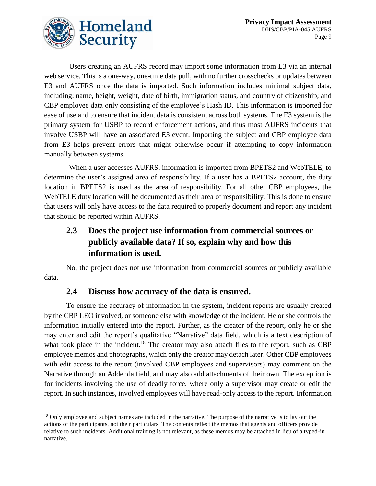

 $\overline{a}$ 

Users creating an AUFRS record may import some information from E3 via an internal web service. This is a one-way, one-time data pull, with no further crosschecks or updates between E3 and AUFRS once the data is imported. Such information includes minimal subject data, including: name, height, weight, date of birth, immigration status, and country of citizenship; and CBP employee data only consisting of the employee's Hash ID. This information is imported for ease of use and to ensure that incident data is consistent across both systems. The E3 system is the primary system for USBP to record enforcement actions, and thus most AUFRS incidents that involve USBP will have an associated E3 event. Importing the subject and CBP employee data from E3 helps prevent errors that might otherwise occur if attempting to copy information manually between systems.

When a user accesses AUFRS, information is imported from BPETS2 and WebTELE, to determine the user's assigned area of responsibility. If a user has a BPETS2 account, the duty location in BPETS2 is used as the area of responsibility. For all other CBP employees, the WebTELE duty location will be documented as their area of responsibility. This is done to ensure that users will only have access to the data required to properly document and report any incident that should be reported within AUFRS.

# **2.3 Does the project use information from commercial sources or publicly available data? If so, explain why and how this information is used.**

No, the project does not use information from commercial sources or publicly available data.

#### **2.4 Discuss how accuracy of the data is ensured.**

To ensure the accuracy of information in the system, incident reports are usually created by the CBP LEO involved, or someone else with knowledge of the incident. He or she controls the information initially entered into the report. Further, as the creator of the report, only he or she may enter and edit the report's qualitative "Narrative" data field, which is a text description of what took place in the incident.<sup>18</sup> The creator may also attach files to the report, such as CBP employee memos and photographs, which only the creator may detach later. Other CBP employees with edit access to the report (involved CBP employees and supervisors) may comment on the Narrative through an Addenda field, and may also add attachments of their own. The exception is for incidents involving the use of deadly force, where only a supervisor may create or edit the report. In such instances, involved employees will have read-only access to the report. Information

<sup>&</sup>lt;sup>18</sup> Only employee and subject names are included in the narrative. The purpose of the narrative is to lay out the actions of the participants, not their particulars. The contents reflect the memos that agents and officers provide relative to such incidents. Additional training is not relevant, as these memos may be attached in lieu of a typed-in narrative.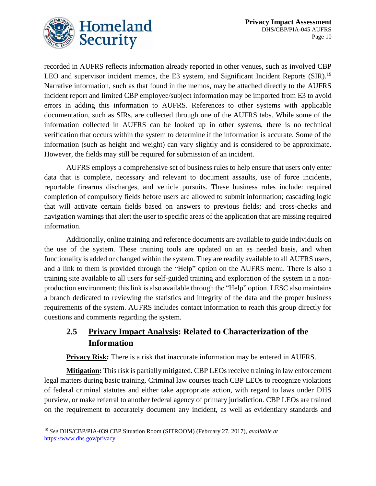

recorded in AUFRS reflects information already reported in other venues, such as involved CBP LEO and supervisor incident memos, the E3 system, and Significant Incident Reports (SIR).<sup>19</sup> Narrative information, such as that found in the memos, may be attached directly to the AUFRS incident report and limited CBP employee/subject information may be imported from E3 to avoid errors in adding this information to AUFRS. References to other systems with applicable documentation, such as SIRs, are collected through one of the AUFRS tabs. While some of the information collected in AUFRS can be looked up in other systems, there is no technical verification that occurs within the system to determine if the information is accurate. Some of the information (such as height and weight) can vary slightly and is considered to be approximate. However, the fields may still be required for submission of an incident.

AUFRS employs a comprehensive set of business rules to help ensure that users only enter data that is complete, necessary and relevant to document assaults, use of force incidents, reportable firearms discharges, and vehicle pursuits. These business rules include: required completion of compulsory fields before users are allowed to submit information; cascading logic that will activate certain fields based on answers to previous fields; and cross-checks and navigation warnings that alert the user to specific areas of the application that are missing required information.

Additionally, online training and reference documents are available to guide individuals on the use of the system. These training tools are updated on an as needed basis, and when functionality is added or changed within the system. They are readily available to all AUFRS users, and a link to them is provided through the "Help" option on the AUFRS menu. There is also a training site available to all users for self-guided training and exploration of the system in a nonproduction environment; this link is also available through the "Help" option. LESC also maintains a branch dedicated to reviewing the statistics and integrity of the data and the proper business requirements of the system. AUFRS includes contact information to reach this group directly for questions and comments regarding the system.

#### **2.5 Privacy Impact Analysis: Related to Characterization of the Information**

**Privacy Risk:** There is a risk that inaccurate information may be entered in AUFRS.

**Mitigation:** This risk is partially mitigated. CBP LEOs receive training in law enforcement legal matters during basic training. Criminal law courses teach CBP LEOs to recognize violations of federal criminal statutes and either take appropriate action, with regard to laws under DHS purview, or make referral to another federal agency of primary jurisdiction. CBP LEOs are trained on the requirement to accurately document any incident, as well as evidentiary standards and

 $\overline{a}$ <sup>19</sup> *See* DHS/CBP/PIA-039 CBP Situation Room (SITROOM) (February 27, 2017), *available at*  <https://www.dhs.gov/privacy.>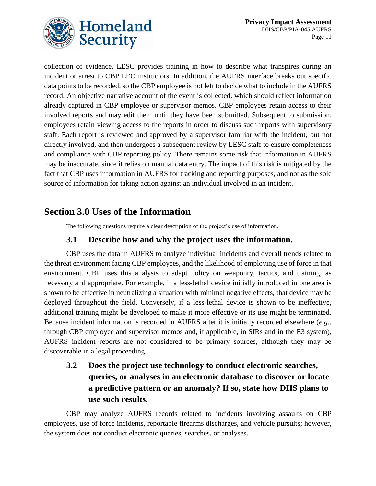

collection of evidence. LESC provides training in how to describe what transpires during an incident or arrest to CBP LEO instructors. In addition, the AUFRS interface breaks out specific data points to be recorded, so the CBP employee is not left to decide what to include in the AUFRS record. An objective narrative account of the event is collected, which should reflect information already captured in CBP employee or supervisor memos. CBP employees retain access to their involved reports and may edit them until they have been submitted. Subsequent to submission, employees retain viewing access to the reports in order to discuss such reports with supervisory staff. Each report is reviewed and approved by a supervisor familiar with the incident, but not directly involved, and then undergoes a subsequent review by LESC staff to ensure completeness and compliance with CBP reporting policy. There remains some risk that information in AUFRS may be inaccurate, since it relies on manual data entry. The impact of this risk is mitigated by the fact that CBP uses information in AUFRS for tracking and reporting purposes, and not as the sole source of information for taking action against an individual involved in an incident.

# **Section 3.0 Uses of the Information**

The following questions require a clear description of the project's use of information.

#### **3.1 Describe how and why the project uses the information.**

CBP uses the data in AUFRS to analyze individual incidents and overall trends related to the threat environment facing CBP employees, and the likelihood of employing use of force in that environment. CBP uses this analysis to adapt policy on weaponry, tactics, and training, as necessary and appropriate. For example, if a less-lethal device initially introduced in one area is shown to be effective in neutralizing a situation with minimal negative effects, that device may be deployed throughout the field. Conversely, if a less-lethal device is shown to be ineffective, additional training might be developed to make it more effective or its use might be terminated. Because incident information is recorded in AUFRS after it is initially recorded elsewhere (*e.g.*, through CBP employee and supervisor memos and, if applicable, in SIRs and in the E3 system), AUFRS incident reports are not considered to be primary sources, although they may be discoverable in a legal proceeding.

# **3.2 Does the project use technology to conduct electronic searches, queries, or analyses in an electronic database to discover or locate a predictive pattern or an anomaly? If so, state how DHS plans to use such results.**

CBP may analyze AUFRS records related to incidents involving assaults on CBP employees, use of force incidents, reportable firearms discharges, and vehicle pursuits; however, the system does not conduct electronic queries, searches, or analyses.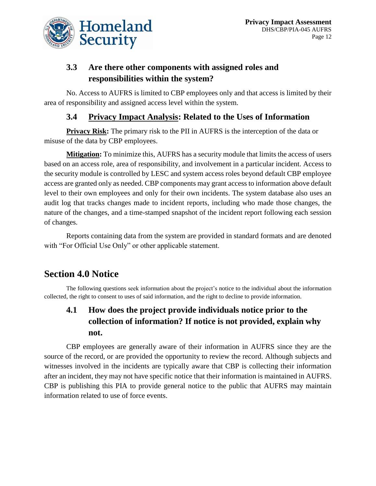

# **3.3 Are there other components with assigned roles and responsibilities within the system?**

No. Access to AUFRS is limited to CBP employees only and that access is limited by their area of responsibility and assigned access level within the system.

#### **3.4 Privacy Impact Analysis: Related to the Uses of Information**

**Privacy Risk:** The primary risk to the PII in AUFRS is the interception of the data or misuse of the data by CBP employees.

**Mitigation:** To minimize this, AUFRS has a security module that limits the access of users based on an access role, area of responsibility, and involvement in a particular incident. Access to the security module is controlled by LESC and system access roles beyond default CBP employee access are granted only as needed. CBP components may grant access to information above default level to their own employees and only for their own incidents. The system database also uses an audit log that tracks changes made to incident reports, including who made those changes, the nature of the changes, and a time-stamped snapshot of the incident report following each session of changes.

Reports containing data from the system are provided in standard formats and are denoted with "For Official Use Only" or other applicable statement.

# **Section 4.0 Notice**

The following questions seek information about the project's notice to the individual about the information collected, the right to consent to uses of said information, and the right to decline to provide information.

# **4.1 How does the project provide individuals notice prior to the collection of information? If notice is not provided, explain why not.**

CBP employees are generally aware of their information in AUFRS since they are the source of the record, or are provided the opportunity to review the record. Although subjects and witnesses involved in the incidents are typically aware that CBP is collecting their information after an incident, they may not have specific notice that their information is maintained in AUFRS. CBP is publishing this PIA to provide general notice to the public that AUFRS may maintain information related to use of force events.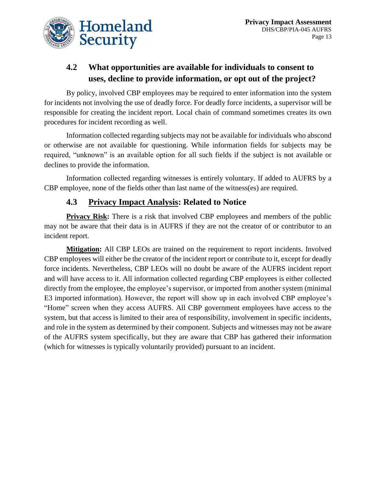

# **4.2 What opportunities are available for individuals to consent to uses, decline to provide information, or opt out of the project?**

By policy, involved CBP employees may be required to enter information into the system for incidents not involving the use of deadly force. For deadly force incidents, a supervisor will be responsible for creating the incident report. Local chain of command sometimes creates its own procedures for incident recording as well.

Information collected regarding subjects may not be available for individuals who abscond or otherwise are not available for questioning. While information fields for subjects may be required, "unknown" is an available option for all such fields if the subject is not available or declines to provide the information.

Information collected regarding witnesses is entirely voluntary. If added to AUFRS by a CBP employee, none of the fields other than last name of the witness(es) are required.

#### **4.3 Privacy Impact Analysis: Related to Notice**

**Privacy Risk:** There is a risk that involved CBP employees and members of the public may not be aware that their data is in AUFRS if they are not the creator of or contributor to an incident report.

**Mitigation:** All CBP LEOs are trained on the requirement to report incidents. Involved CBP employees will either be the creator of the incident report or contribute to it, except for deadly force incidents. Nevertheless, CBP LEOs will no doubt be aware of the AUFRS incident report and will have access to it. All information collected regarding CBP employees is either collected directly from the employee, the employee's supervisor, or imported from another system (minimal E3 imported information). However, the report will show up in each involved CBP employee's "Home" screen when they access AUFRS. All CBP government employees have access to the system, but that access is limited to their area of responsibility, involvement in specific incidents, and role in the system as determined by their component. Subjects and witnesses may not be aware of the AUFRS system specifically, but they are aware that CBP has gathered their information (which for witnesses is typically voluntarily provided) pursuant to an incident.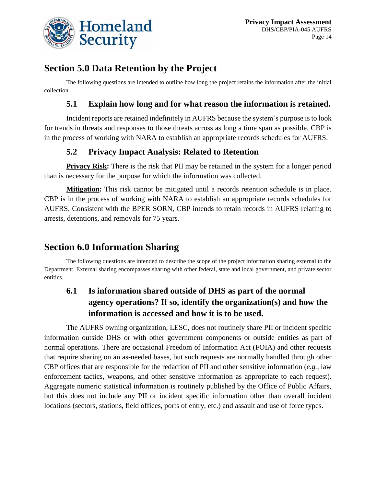

# **Section 5.0 Data Retention by the Project**

The following questions are intended to outline how long the project retains the information after the initial collection.

#### **5.1 Explain how long and for what reason the information is retained.**

Incident reports are retained indefinitely in AUFRS because the system's purpose is to look for trends in threats and responses to those threats across as long a time span as possible. CBP is in the process of working with NARA to establish an appropriate records schedules for AUFRS.

#### **5.2 Privacy Impact Analysis: Related to Retention**

**Privacy Risk:** There is the risk that PII may be retained in the system for a longer period than is necessary for the purpose for which the information was collected.

**Mitigation:** This risk cannot be mitigated until a records retention schedule is in place. CBP is in the process of working with NARA to establish an appropriate records schedules for AUFRS. Consistent with the BPER SORN, CBP intends to retain records in AUFRS relating to arrests, detentions, and removals for 75 years.

# **Section 6.0 Information Sharing**

The following questions are intended to describe the scope of the project information sharing external to the Department. External sharing encompasses sharing with other federal, state and local government, and private sector entities.

# **6.1 Is information shared outside of DHS as part of the normal agency operations? If so, identify the organization(s) and how the information is accessed and how it is to be used.**

The AUFRS owning organization, LESC, does not routinely share PII or incident specific information outside DHS or with other government components or outside entities as part of normal operations. There are occasional Freedom of Information Act (FOIA) and other requests that require sharing on an as-needed bases, but such requests are normally handled through other CBP offices that are responsible for the redaction of PII and other sensitive information (*e.g.*, law enforcement tactics, weapons, and other sensitive information as appropriate to each request). Aggregate numeric statistical information is routinely published by the Office of Public Affairs, but this does not include any PII or incident specific information other than overall incident locations (sectors, stations, field offices, ports of entry, etc.) and assault and use of force types.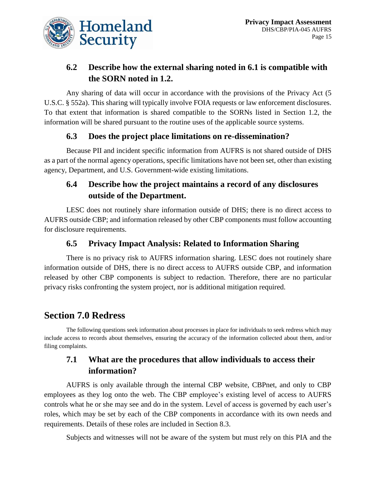

# **6.2 Describe how the external sharing noted in 6.1 is compatible with the SORN noted in 1.2.**

Any sharing of data will occur in accordance with the provisions of the Privacy Act (5 U.S.C. § 552a). This sharing will typically involve FOIA requests or law enforcement disclosures. To that extent that information is shared compatible to the SORNs listed in Section 1.2, the information will be shared pursuant to the routine uses of the applicable source systems.

#### **6.3 Does the project place limitations on re-dissemination?**

Because PII and incident specific information from AUFRS is not shared outside of DHS as a part of the normal agency operations, specific limitations have not been set, other than existing agency, Department, and U.S. Government-wide existing limitations.

#### **6.4 Describe how the project maintains a record of any disclosures outside of the Department.**

LESC does not routinely share information outside of DHS; there is no direct access to AUFRS outside CBP; and information released by other CBP components must follow accounting for disclosure requirements.

#### **6.5 Privacy Impact Analysis: Related to Information Sharing**

There is no privacy risk to AUFRS information sharing. LESC does not routinely share information outside of DHS, there is no direct access to AUFRS outside CBP, and information released by other CBP components is subject to redaction. Therefore, there are no particular privacy risks confronting the system project, nor is additional mitigation required.

# **Section 7.0 Redress**

The following questions seek information about processes in place for individuals to seek redress which may include access to records about themselves, ensuring the accuracy of the information collected about them, and/or filing complaints.

# **7.1 What are the procedures that allow individuals to access their information?**

AUFRS is only available through the internal CBP website, CBPnet, and only to CBP employees as they log onto the web. The CBP employee's existing level of access to AUFRS controls what he or she may see and do in the system. Level of access is governed by each user's roles, which may be set by each of the CBP components in accordance with its own needs and requirements. Details of these roles are included in Section 8.3.

Subjects and witnesses will not be aware of the system but must rely on this PIA and the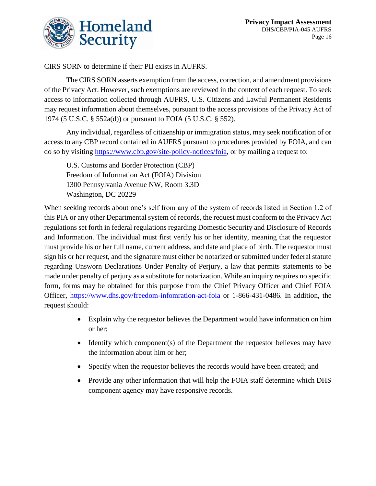

CIRS SORN to determine if their PII exists in AUFRS.

The CIRS SORN asserts exemption from the access, correction, and amendment provisions of the Privacy Act. However, such exemptions are reviewed in the context of each request. To seek access to information collected through AUFRS, U.S. Citizens and Lawful Permanent Residents may request information about themselves, pursuant to the access provisions of the Privacy Act of 1974 (5 U.S.C. § 552a(d)) or pursuant to FOIA (5 U.S.C. § 552).

Any individual, regardless of citizenship or immigration status, may seek notification of or access to any CBP record contained in AUFRS pursuant to procedures provided by FOIA, and can do so by visiting [https://www.cbp.gov/site-policy-notices/foia,](https://www.cbp.gov/site-policy-notices/foia) or by mailing a request to:

U.S. Customs and Border Protection (CBP) Freedom of Information Act (FOIA) Division 1300 Pennsylvania Avenue NW, Room 3.3D Washington, DC 20229

When seeking records about one's self from any of the system of records listed in Section 1.2 of this PIA or any other Departmental system of records, the request must conform to the Privacy Act regulations set forth in federal regulations regarding Domestic Security and Disclosure of Records and Information. The individual must first verify his or her identity, meaning that the requestor must provide his or her full name, current address, and date and place of birth. The requestor must sign his or her request, and the signature must either be notarized or submitted under federal statute regarding Unsworn Declarations Under Penalty of Perjury, a law that permits statements to be made under penalty of perjury as a substitute for notarization. While an inquiry requires no specific form, forms may be obtained for this purpose from the Chief Privacy Officer and Chief FOIA Officer,<https://www.dhs.gov/freedom-infomration-act-foia> or 1-866-431-0486. In addition, the request should:

- Explain why the requestor believes the Department would have information on him or her;
- Identify which component(s) of the Department the requestor believes may have the information about him or her;
- Specify when the requestor believes the records would have been created; and
- Provide any other information that will help the FOIA staff determine which DHS component agency may have responsive records.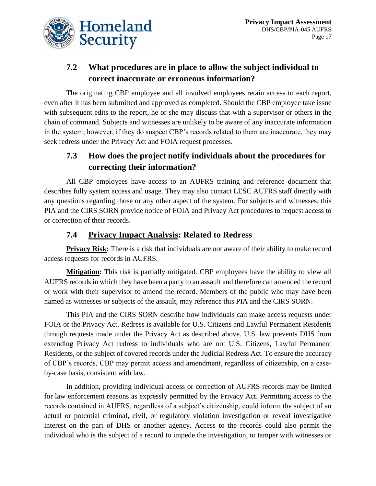

# **7.2 What procedures are in place to allow the subject individual to correct inaccurate or erroneous information?**

The originating CBP employee and all involved employees retain access to each report, even after it has been submitted and approved as completed. Should the CBP employee take issue with subsequent edits to the report, he or she may discuss that with a supervisor or others in the chain of command. Subjects and witnesses are unlikely to be aware of any inaccurate information in the system; however, if they do suspect CBP's records related to them are inaccurate, they may seek redress under the Privacy Act and FOIA request processes.

#### **7.3 How does the project notify individuals about the procedures for correcting their information?**

All CBP employees have access to an AUFRS training and reference document that describes fully system access and usage. They may also contact LESC AUFRS staff directly with any questions regarding those or any other aspect of the system. For subjects and witnesses, this PIA and the CIRS SORN provide notice of FOIA and Privacy Act procedures to request access to or correction of their records.

#### **7.4 Privacy Impact Analysis: Related to Redress**

**Privacy Risk:** There is a risk that individuals are not aware of their ability to make record access requests for records in AUFRS.

**Mitigation:** This risk is partially mitigated. CBP employees have the ability to view all AUFRS records in which they have been a party to an assault and therefore can amended the record or work with their supervisor to amend the record. Members of the public who may have been named as witnesses or subjects of the assault, may reference this PIA and the CIRS SORN.

This PIA and the CIRS SORN describe how individuals can make access requests under FOIA or the Privacy Act. Redress is available for U.S. Citizens and Lawful Permanent Residents through requests made under the Privacy Act as described above. U.S. law prevents DHS from extending Privacy Act redress to individuals who are not U.S. Citizens, Lawful Permanent Residents, or the subject of covered records under the Judicial Redress Act. To ensure the accuracy of CBP's records, CBP may permit access and amendment, regardless of citizenship, on a caseby-case basis, consistent with law.

In addition, providing individual access or correction of AUFRS records may be limited for law enforcement reasons as expressly permitted by the Privacy Act. Permitting access to the records contained in AUFRS, regardless of a subject's citizenship, could inform the subject of an actual or potential criminal, civil, or regulatory violation investigation or reveal investigative interest on the part of DHS or another agency. Access to the records could also permit the individual who is the subject of a record to impede the investigation, to tamper with witnesses or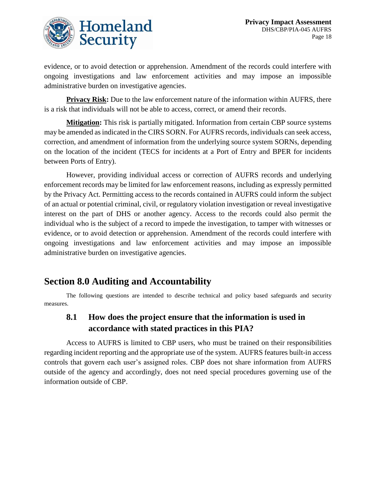

evidence, or to avoid detection or apprehension. Amendment of the records could interfere with ongoing investigations and law enforcement activities and may impose an impossible administrative burden on investigative agencies.

**Privacy Risk:** Due to the law enforcement nature of the information within AUFRS, there is a risk that individuals will not be able to access, correct, or amend their records.

**Mitigation:** This risk is partially mitigated. Information from certain CBP source systems may be amended as indicated in the CIRS SORN. For AUFRS records, individuals can seek access, correction, and amendment of information from the underlying source system SORNs, depending on the location of the incident (TECS for incidents at a Port of Entry and BPER for incidents between Ports of Entry).

However, providing individual access or correction of AUFRS records and underlying enforcement records may be limited for law enforcement reasons, including as expressly permitted by the Privacy Act. Permitting access to the records contained in AUFRS could inform the subject of an actual or potential criminal, civil, or regulatory violation investigation or reveal investigative interest on the part of DHS or another agency. Access to the records could also permit the individual who is the subject of a record to impede the investigation, to tamper with witnesses or evidence, or to avoid detection or apprehension. Amendment of the records could interfere with ongoing investigations and law enforcement activities and may impose an impossible administrative burden on investigative agencies.

# **Section 8.0 Auditing and Accountability**

The following questions are intended to describe technical and policy based safeguards and security measures.

#### **8.1 How does the project ensure that the information is used in accordance with stated practices in this PIA?**

Access to AUFRS is limited to CBP users, who must be trained on their responsibilities regarding incident reporting and the appropriate use of the system. AUFRS features built-in access controls that govern each user's assigned roles. CBP does not share information from AUFRS outside of the agency and accordingly, does not need special procedures governing use of the information outside of CBP.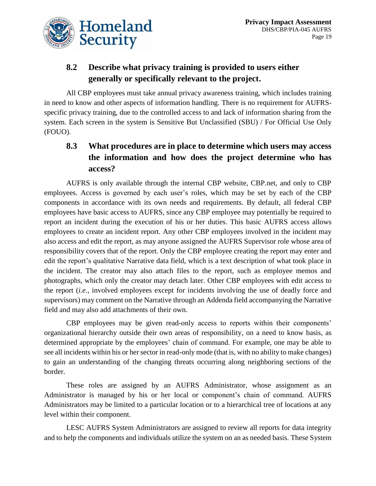

# **8.2 Describe what privacy training is provided to users either generally or specifically relevant to the project.**

All CBP employees must take annual privacy awareness training, which includes training in need to know and other aspects of information handling. There is no requirement for AUFRSspecific privacy training, due to the controlled access to and lack of information sharing from the system. Each screen in the system is Sensitive But Unclassified (SBU) / For Official Use Only (FOUO).

# **8.3 What procedures are in place to determine which users may access the information and how does the project determine who has access?**

AUFRS is only available through the internal CBP website, CBP.net, and only to CBP employees. Access is governed by each user's roles, which may be set by each of the CBP components in accordance with its own needs and requirements. By default, all federal CBP employees have basic access to AUFRS, since any CBP employee may potentially be required to report an incident during the execution of his or her duties. This basic AUFRS access allows employees to create an incident report. Any other CBP employees involved in the incident may also access and edit the report, as may anyone assigned the AUFRS Supervisor role whose area of responsibility covers that of the report. Only the CBP employee creating the report may enter and edit the report's qualitative Narrative data field, which is a text description of what took place in the incident. The creator may also attach files to the report, such as employee memos and photographs, which only the creator may detach later. Other CBP employees with edit access to the report (*i.e.*, involved employees except for incidents involving the use of deadly force and supervisors) may comment on the Narrative through an Addenda field accompanying the Narrative field and may also add attachments of their own.

CBP employees may be given read-only access to reports within their components' organizational hierarchy outside their own areas of responsibility, on a need to know basis, as determined appropriate by the employees' chain of command. For example, one may be able to see all incidents within his or her sector in read-only mode (that is, with no ability to make changes) to gain an understanding of the changing threats occurring along neighboring sections of the border.

These roles are assigned by an AUFRS Administrator, whose assignment as an Administrator is managed by his or her local or component's chain of command. AUFRS Administrators may be limited to a particular location or to a hierarchical tree of locations at any level within their component.

LESC AUFRS System Administrators are assigned to review all reports for data integrity and to help the components and individuals utilize the system on an as needed basis. These System